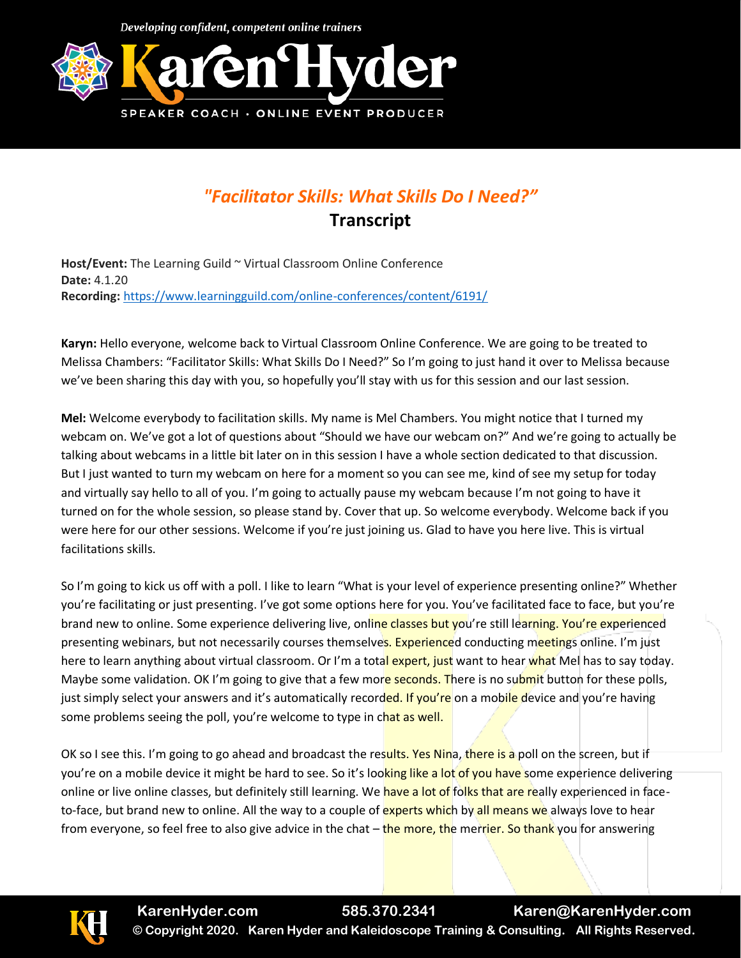Developing confident, competent online trainers



## *"Facilitator Skills: What Skills Do I Need?"* **Transcript**

**Host/Event:** The Learning Guild ~ Virtual Classroom Online Conference **Date:** 4.1.20 **Recording:** <https://www.learningguild.com/online-conferences/content/6191/>

**Karyn:** Hello everyone, welcome back to Virtual Classroom Online Conference. We are going to be treated to Melissa Chambers: "Facilitator Skills: What Skills Do I Need?" So I'm going to just hand it over to Melissa because we've been sharing this day with you, so hopefully you'll stay with us for this session and our last session.

**Mel:** Welcome everybody to facilitation skills. My name is Mel Chambers. You might notice that I turned my webcam on. We've got a lot of questions about "Should we have our webcam on?" And we're going to actually be talking about webcams in a little bit later on in this session I have a whole section dedicated to that discussion. But I just wanted to turn my webcam on here for a moment so you can see me, kind of see my setup for today and virtually say hello to all of you. I'm going to actually pause my webcam because I'm not going to have it turned on for the whole session, so please stand by. Cover that up. So welcome everybody. Welcome back if you were here for our other sessions. Welcome if you're just joining us. Glad to have you here live. This is virtual facilitations skills.

So I'm going to kick us off with a poll. I like to learn "What is your level of experience presenting online?" Whether you're facilitating or just presenting. I've got some options here for you. You've facilitated face to face, but you're brand new to online. Some experience delivering live, online classes but you're still learning. You're experienced presenting webinars, but not necessarily courses themselves. Experienced conducting meetings online. I'm just here to learn anything about virtual classroom. Or I'm a total expert, just want to hear what Mel has to say today. Maybe some validation. OK I'm going to give that a few more seconds. There is no submit button for these polls, just simply select your answers and it's automatically recorded. If you're on a mobile device and you're having some problems seeing the poll, you're welcome to type in chat as well.

OK so I see this. I'm going to go ahead and broadcast the results. Yes Nina, there is a poll on the screen, but if you're on a mobile device it might be hard to see. So it's looking like a lot of you have some experience delivering online or live online classes, but definitely still learning. We have a lot of folks that are really experienced in faceto-face, but brand new to online. All the way to a couple of experts which by all means we always love to hear from everyone, so feel free to also give advice in the chat – the more, the merrier. So thank you for answering

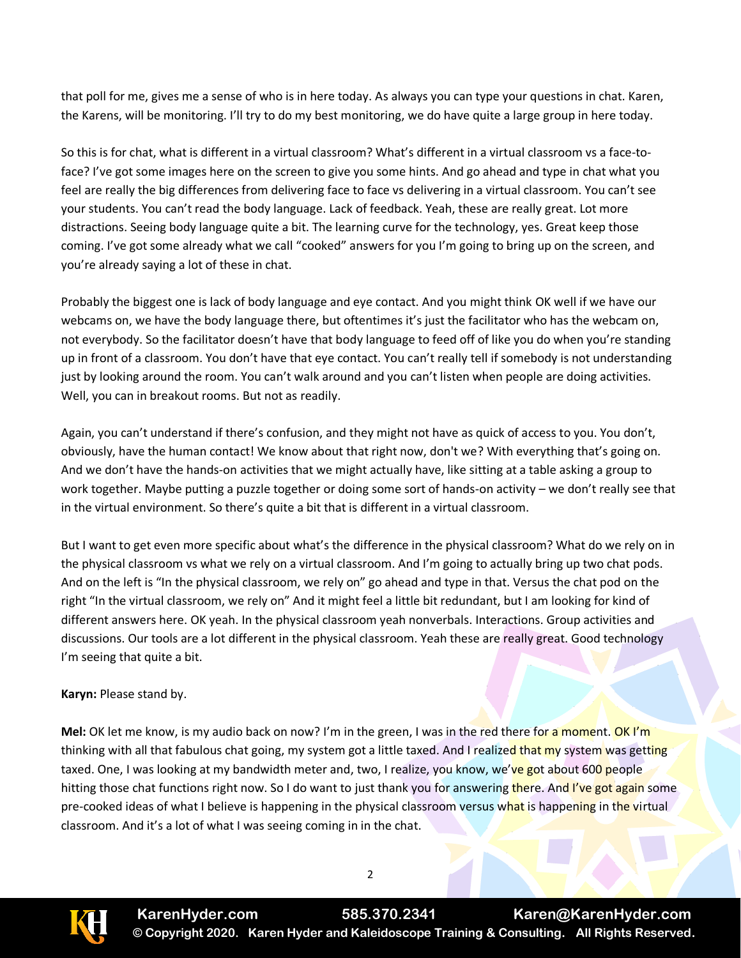that poll for me, gives me a sense of who is in here today. As always you can type your questions in chat. Karen, the Karens, will be monitoring. I'll try to do my best monitoring, we do have quite a large group in here today.

So this is for chat, what is different in a virtual classroom? What's different in a virtual classroom vs a face-toface? I've got some images here on the screen to give you some hints. And go ahead and type in chat what you feel are really the big differences from delivering face to face vs delivering in a virtual classroom. You can't see your students. You can't read the body language. Lack of feedback. Yeah, these are really great. Lot more distractions. Seeing body language quite a bit. The learning curve for the technology, yes. Great keep those coming. I've got some already what we call "cooked" answers for you I'm going to bring up on the screen, and you're already saying a lot of these in chat.

Probably the biggest one is lack of body language and eye contact. And you might think OK well if we have our webcams on, we have the body language there, but oftentimes it's just the facilitator who has the webcam on, not everybody. So the facilitator doesn't have that body language to feed off of like you do when you're standing up in front of a classroom. You don't have that eye contact. You can't really tell if somebody is not understanding just by looking around the room. You can't walk around and you can't listen when people are doing activities. Well, you can in breakout rooms. But not as readily.

Again, you can't understand if there's confusion, and they might not have as quick of access to you. You don't, obviously, have the human contact! We know about that right now, don't we? With everything that's going on. And we don't have the hands-on activities that we might actually have, like sitting at a table asking a group to work together. Maybe putting a puzzle together or doing some sort of hands-on activity – we don't really see that in the virtual environment. So there's quite a bit that is different in a virtual classroom.

But I want to get even more specific about what's the difference in the physical classroom? What do we rely on in the physical classroom vs what we rely on a virtual classroom. And I'm going to actually bring up two chat pods. And on the left is "In the physical classroom, we rely on" go ahead and type in that. Versus the chat pod on the right "In the virtual classroom, we rely on" And it might feel a little bit redundant, but I am looking for kind of different answers here. OK yeah. In the physical classroom yeah nonverbals. Interactions. Group activities and discussions. Our tools are a lot different in the physical classroom. Yeah these are really great. Good technology I'm seeing that quite a bit.

## **Karyn:** Please stand by.

**Mel:** OK let me know, is my audio back on now? I'm in the green, I was in the red there for a moment. OK I'm thinking with all that fabulous chat going, my system got a little taxed. And I realized that my system was getting taxed. One, I was looking at my bandwidth meter and, two, I realize, you know, we've got about 600 people hitting those chat functions right now. So I do want to just thank you for answering there. And I've got again some pre-cooked ideas of what I believe is happening in the physical classroom versus what is happening in the virtual classroom. And it's a lot of what I was seeing coming in in the chat.

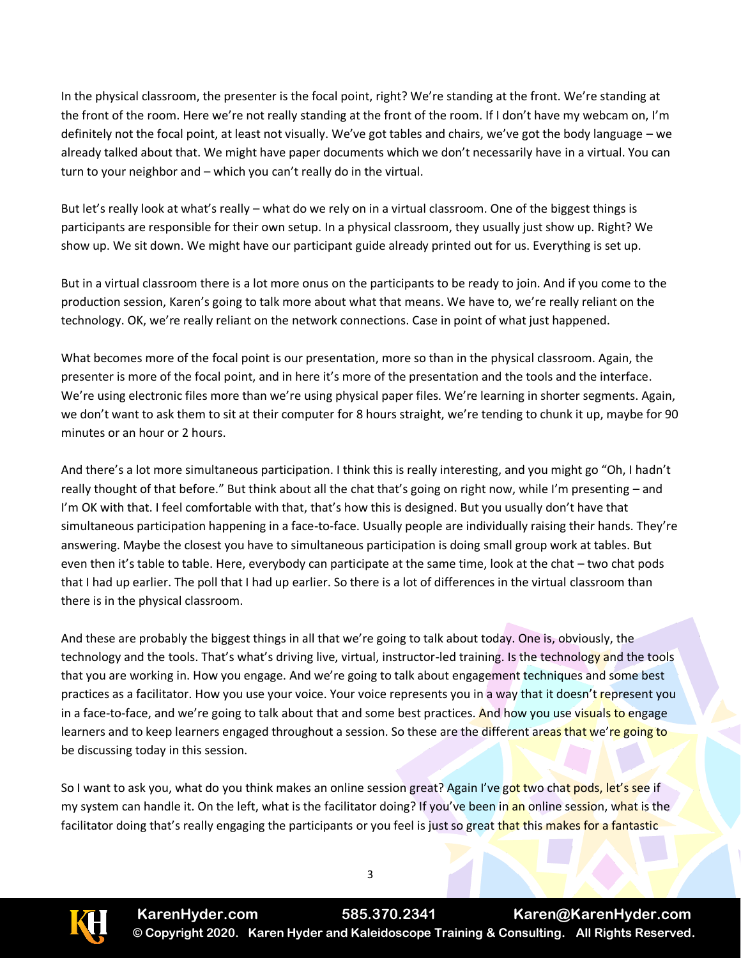In the physical classroom, the presenter is the focal point, right? We're standing at the front. We're standing at the front of the room. Here we're not really standing at the front of the room. If I don't have my webcam on, I'm definitely not the focal point, at least not visually. We've got tables and chairs, we've got the body language – we already talked about that. We might have paper documents which we don't necessarily have in a virtual. You can turn to your neighbor and – which you can't really do in the virtual.

But let's really look at what's really – what do we rely on in a virtual classroom. One of the biggest things is participants are responsible for their own setup. In a physical classroom, they usually just show up. Right? We show up. We sit down. We might have our participant guide already printed out for us. Everything is set up.

But in a virtual classroom there is a lot more onus on the participants to be ready to join. And if you come to the production session, Karen's going to talk more about what that means. We have to, we're really reliant on the technology. OK, we're really reliant on the network connections. Case in point of what just happened.

What becomes more of the focal point is our presentation, more so than in the physical classroom. Again, the presenter is more of the focal point, and in here it's more of the presentation and the tools and the interface. We're using electronic files more than we're using physical paper files. We're learning in shorter segments. Again, we don't want to ask them to sit at their computer for 8 hours straight, we're tending to chunk it up, maybe for 90 minutes or an hour or 2 hours.

And there's a lot more simultaneous participation. I think this is really interesting, and you might go "Oh, I hadn't really thought of that before." But think about all the chat that's going on right now, while I'm presenting – and I'm OK with that. I feel comfortable with that, that's how this is designed. But you usually don't have that simultaneous participation happening in a face-to-face. Usually people are individually raising their hands. They're answering. Maybe the closest you have to simultaneous participation is doing small group work at tables. But even then it's table to table. Here, everybody can participate at the same time, look at the chat – two chat pods that I had up earlier. The poll that I had up earlier. So there is a lot of differences in the virtual classroom than there is in the physical classroom.

And these are probably the biggest things in all that we're going to talk about today. One is, obviously, the technology and the tools. That's what's driving live, virtual, instructor-led training. Is the technology and the tools that you are working in. How you engage. And we're going to talk about engagement techniques and some best practices as a facilitator. How you use your voice. Your voice represents you in a way that it doesn't represent you in a face-to-face, and we're going to talk about that and some best practices. And how you use visuals to engage learners and to keep learners engaged throughout a session. So these are the different areas that we're going to be discussing today in this session.

So I want to ask you, what do you think makes an online session great? Again I've got two chat pods, let's see if my system can handle it. On the left, what is the facilitator doing? If you've been in an online session, what is the facilitator doing that's really engaging the participants or you feel is just so great that this makes for a fantastic

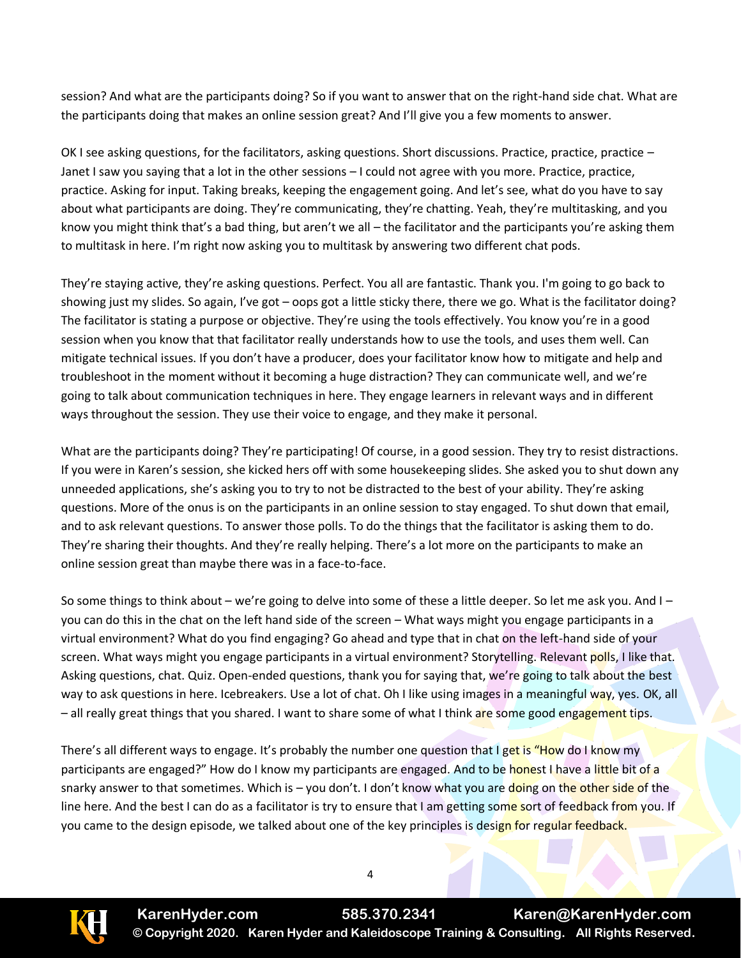session? And what are the participants doing? So if you want to answer that on the right-hand side chat. What are the participants doing that makes an online session great? And I'll give you a few moments to answer.

OK I see asking questions, for the facilitators, asking questions. Short discussions. Practice, practice, practice – Janet I saw you saying that a lot in the other sessions – I could not agree with you more. Practice, practice, practice. Asking for input. Taking breaks, keeping the engagement going. And let's see, what do you have to say about what participants are doing. They're communicating, they're chatting. Yeah, they're multitasking, and you know you might think that's a bad thing, but aren't we all – the facilitator and the participants you're asking them to multitask in here. I'm right now asking you to multitask by answering two different chat pods.

They're staying active, they're asking questions. Perfect. You all are fantastic. Thank you. I'm going to go back to showing just my slides. So again, I've got – oops got a little sticky there, there we go. What is the facilitator doing? The facilitator is stating a purpose or objective. They're using the tools effectively. You know you're in a good session when you know that that facilitator really understands how to use the tools, and uses them well. Can mitigate technical issues. If you don't have a producer, does your facilitator know how to mitigate and help and troubleshoot in the moment without it becoming a huge distraction? They can communicate well, and we're going to talk about communication techniques in here. They engage learners in relevant ways and in different ways throughout the session. They use their voice to engage, and they make it personal.

What are the participants doing? They're participating! Of course, in a good session. They try to resist distractions. If you were in Karen's session, she kicked hers off with some housekeeping slides. She asked you to shut down any unneeded applications, she's asking you to try to not be distracted to the best of your ability. They're asking questions. More of the onus is on the participants in an online session to stay engaged. To shut down that email, and to ask relevant questions. To answer those polls. To do the things that the facilitator is asking them to do. They're sharing their thoughts. And they're really helping. There's a lot more on the participants to make an online session great than maybe there was in a face-to-face.

So some things to think about – we're going to delve into some of these a little deeper. So let me ask you. And I – you can do this in the chat on the left hand side of the screen – What ways might you engage participants in a virtual environment? What do you find engaging? Go ahead and type that in chat on the left-hand side of your screen. What ways might you engage participants in a virtual environment? Storytelling. Relevant polls, I like that. Asking questions, chat. Quiz. Open-ended questions, thank you for saying that, we're going to talk about the best way to ask questions in here. Icebreakers. Use a lot of chat. Oh I like using images in a meaningful way, yes. OK, all – all really great things that you shared. I want to share some of what I think are some good engagement tips.

There's all different ways to engage. It's probably the number one question that I get is "How do I know my participants are engaged?" How do I know my participants are engaged. And to be honest I have a little bit of a snarky answer to that sometimes. Which is – you don't. I don't know what you are doing on the other side of the line here. And the best I can do as a facilitator is try to ensure that I am getting some sort of feedback from you. If you came to the design episode, we talked about one of the key principles is design for regular feedback.

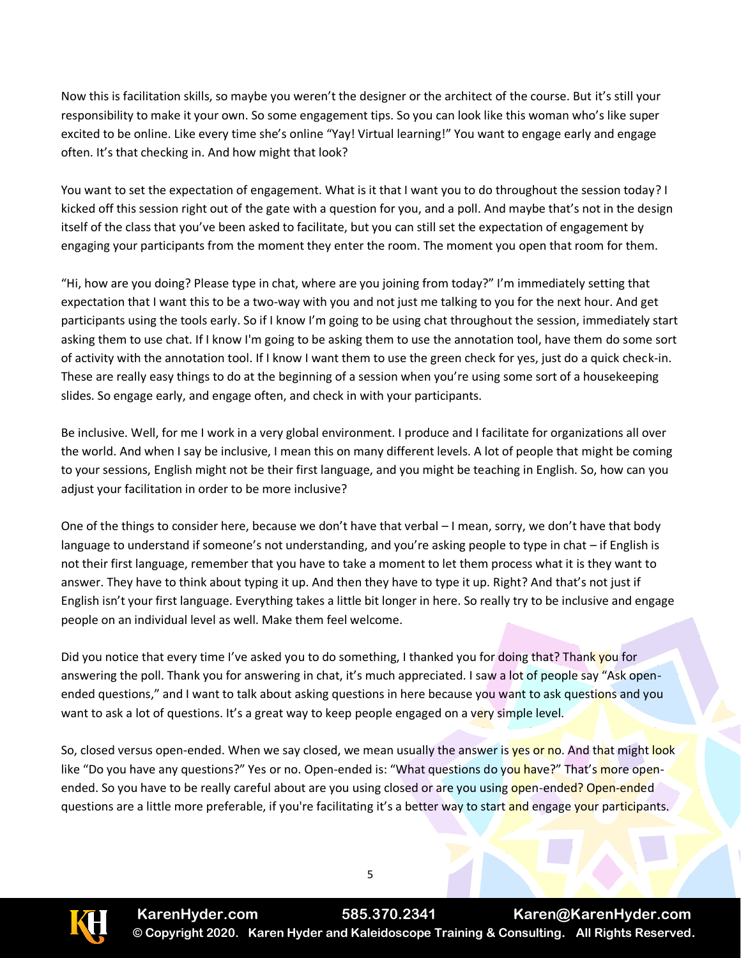Now this is facilitation skills, so maybe you weren't the designer or the architect of the course. But it's still your responsibility to make it your own. So some engagement tips. So you can look like this woman who's like super excited to be online. Like every time she's online "Yay! Virtual learning!" You want to engage early and engage often. It's that checking in. And how might that look?

You want to set the expectation of engagement. What is it that I want you to do throughout the session today? I kicked off this session right out of the gate with a question for you, and a poll. And maybe that's not in the design itself of the class that you've been asked to facilitate, but you can still set the expectation of engagement by engaging your participants from the moment they enter the room. The moment you open that room for them.

"Hi, how are you doing? Please type in chat, where are you joining from today?" I'm immediately setting that expectation that I want this to be a two-way with you and not just me talking to you for the next hour. And get participants using the tools early. So if I know I'm going to be using chat throughout the session, immediately start asking them to use chat. If I know I'm going to be asking them to use the annotation tool, have them do some sort of activity with the annotation tool. If I know I want them to use the green check for yes, just do a quick check-in. These are really easy things to do at the beginning of a session when you're using some sort of a housekeeping slides. So engage early, and engage often, and check in with your participants.

Be inclusive. Well, for me I work in a very global environment. I produce and I facilitate for organizations all over the world. And when I say be inclusive, I mean this on many different levels. A lot of people that might be coming to your sessions, English might not be their first language, and you might be teaching in English. So, how can you adjust your facilitation in order to be more inclusive?

One of the things to consider here, because we don't have that verbal – I mean, sorry, we don't have that body language to understand if someone's not understanding, and you're asking people to type in chat – if English is not their first language, remember that you have to take a moment to let them process what it is they want to answer. They have to think about typing it up. And then they have to type it up. Right? And that's not just if English isn't your first language. Everything takes a little bit longer in here. So really try to be inclusive and engage people on an individual level as well. Make them feel welcome.

Did you notice that every time I've asked you to do something, I thanked you for doing that? Thank you for answering the poll. Thank you for answering in chat, it's much appreciated. I saw a lot of people say "Ask openended questions," and I want to talk about asking questions in here because you want to ask questions and you want to ask a lot of questions. It's a great way to keep people engaged on a very simple level.

So, closed versus open-ended. When we say closed, we mean usually the answer is yes or no. And that might look like "Do you have any questions?" Yes or no. Open-ended is: "What questions do you have?" That's more openended. So you have to be really careful about are you using closed or are you using open-ended? Open-ended questions are a little more preferable, if you're facilitating it's a better way to start and engage your participants.

**KarenHyder.com 585.370.2341 Karen@KarenHyder.com © Copyright 2020. Karen Hyder and Kaleidoscope Training & Consulting. All Rights Reserved.**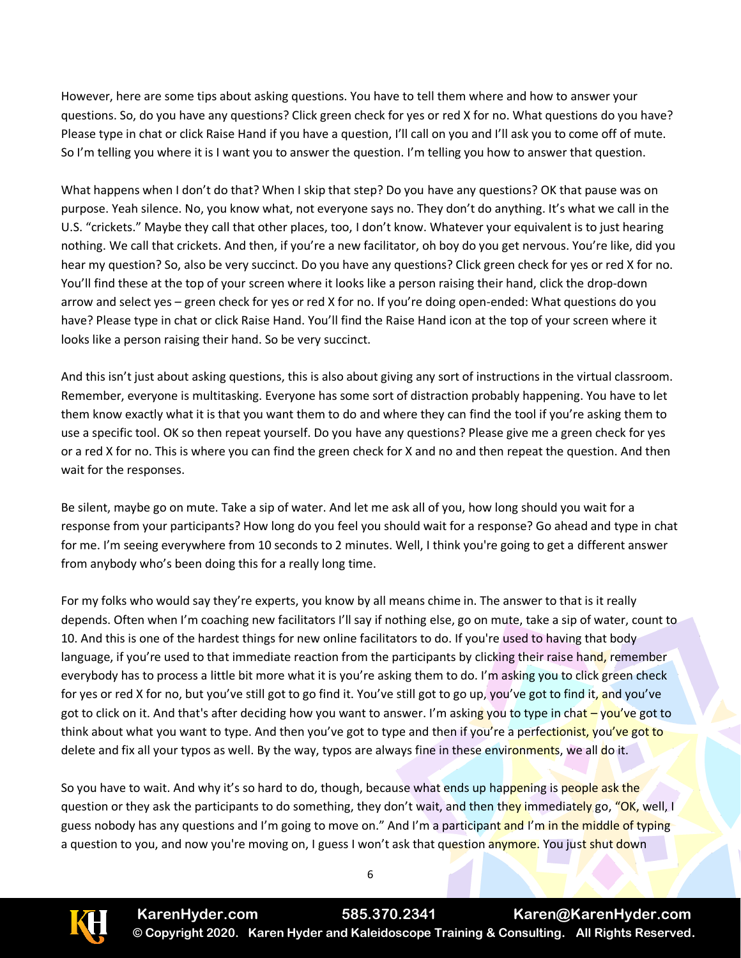However, here are some tips about asking questions. You have to tell them where and how to answer your questions. So, do you have any questions? Click green check for yes or red X for no. What questions do you have? Please type in chat or click Raise Hand if you have a question, I'll call on you and I'll ask you to come off of mute. So I'm telling you where it is I want you to answer the question. I'm telling you how to answer that question.

What happens when I don't do that? When I skip that step? Do you have any questions? OK that pause was on purpose. Yeah silence. No, you know what, not everyone says no. They don't do anything. It's what we call in the U.S. "crickets." Maybe they call that other places, too, I don't know. Whatever your equivalent is to just hearing nothing. We call that crickets. And then, if you're a new facilitator, oh boy do you get nervous. You're like, did you hear my question? So, also be very succinct. Do you have any questions? Click green check for yes or red X for no. You'll find these at the top of your screen where it looks like a person raising their hand, click the drop-down arrow and select yes – green check for yes or red X for no. If you're doing open-ended: What questions do you have? Please type in chat or click Raise Hand. You'll find the Raise Hand icon at the top of your screen where it looks like a person raising their hand. So be very succinct.

And this isn't just about asking questions, this is also about giving any sort of instructions in the virtual classroom. Remember, everyone is multitasking. Everyone has some sort of distraction probably happening. You have to let them know exactly what it is that you want them to do and where they can find the tool if you're asking them to use a specific tool. OK so then repeat yourself. Do you have any questions? Please give me a green check for yes or a red X for no. This is where you can find the green check for X and no and then repeat the question. And then wait for the responses.

Be silent, maybe go on mute. Take a sip of water. And let me ask all of you, how long should you wait for a response from your participants? How long do you feel you should wait for a response? Go ahead and type in chat for me. I'm seeing everywhere from 10 seconds to 2 minutes. Well, I think you're going to get a different answer from anybody who's been doing this for a really long time.

For my folks who would say they're experts, you know by all means chime in. The answer to that is it really depends. Often when I'm coaching new facilitators I'll say if nothing else, go on mute, take a sip of water, count to 10. And this is one of the hardest things for new online facilitators to do. If you're used to having that body language, if you're used to that immediate reaction from the participants by clicking their raise hand, remember everybody has to process a little bit more what it is you're asking them to do. I'm asking you to click green check for yes or red X for no, but you've still got to go find it. You've still got to go up, you've got to find it, and you've got to click on it. And that's after deciding how you want to answer. I'm asking you to type in chat – you've got to think about what you want to type. And then you've got to type and then if you're a perfectionist, you've got to delete and fix all your typos as well. By the way, typos are always fine in these environments, we all do it.

So you have to wait. And why it's so hard to do, though, because what ends up happening is people ask the question or they ask the participants to do something, they don't wait, and then they immediately go, "OK, well, I guess nobody has any questions and I'm going to move on." And I'm a participant and I'm in the middle of typing a question to you, and now you're moving on, I guess I won't ask that question anymore. You just shut down

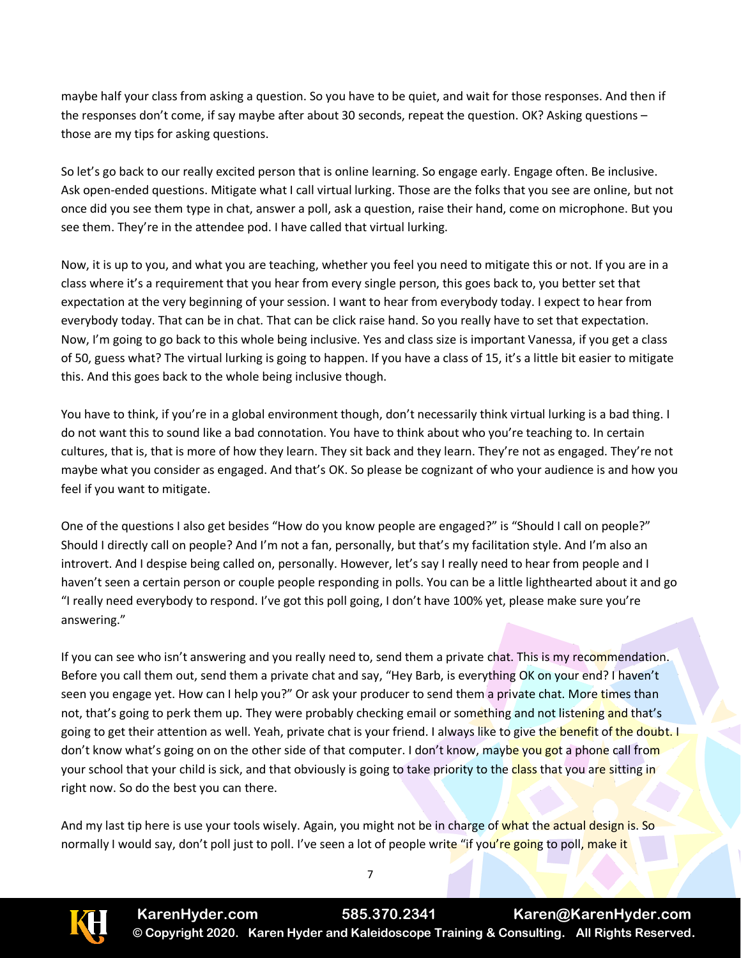maybe half your class from asking a question. So you have to be quiet, and wait for those responses. And then if the responses don't come, if say maybe after about 30 seconds, repeat the question. OK? Asking questions – those are my tips for asking questions.

So let's go back to our really excited person that is online learning. So engage early. Engage often. Be inclusive. Ask open-ended questions. Mitigate what I call virtual lurking. Those are the folks that you see are online, but not once did you see them type in chat, answer a poll, ask a question, raise their hand, come on microphone. But you see them. They're in the attendee pod. I have called that virtual lurking.

Now, it is up to you, and what you are teaching, whether you feel you need to mitigate this or not. If you are in a class where it's a requirement that you hear from every single person, this goes back to, you better set that expectation at the very beginning of your session. I want to hear from everybody today. I expect to hear from everybody today. That can be in chat. That can be click raise hand. So you really have to set that expectation. Now, I'm going to go back to this whole being inclusive. Yes and class size is important Vanessa, if you get a class of 50, guess what? The virtual lurking is going to happen. If you have a class of 15, it's a little bit easier to mitigate this. And this goes back to the whole being inclusive though.

You have to think, if you're in a global environment though, don't necessarily think virtual lurking is a bad thing. I do not want this to sound like a bad connotation. You have to think about who you're teaching to. In certain cultures, that is, that is more of how they learn. They sit back and they learn. They're not as engaged. They're not maybe what you consider as engaged. And that's OK. So please be cognizant of who your audience is and how you feel if you want to mitigate.

One of the questions I also get besides "How do you know people are engaged?" is "Should I call on people?" Should I directly call on people? And I'm not a fan, personally, but that's my facilitation style. And I'm also an introvert. And I despise being called on, personally. However, let's say I really need to hear from people and I haven't seen a certain person or couple people responding in polls. You can be a little lighthearted about it and go "I really need everybody to respond. I've got this poll going, I don't have 100% yet, please make sure you're answering."

If you can see who isn't answering and you really need to, send them a private chat. This is my recommendation. Before you call them out, send them a private chat and say, "Hey Barb, is everything OK on your end? I haven't seen you engage yet. How can I help you?" Or ask your producer to send them a private chat. More times than not, that's going to perk them up. They were probably checking email or something and not listening and that's going to get their attention as well. Yeah, private chat is your friend. I always like to give the benefit of the doubt. I don't know what's going on on the other side of that computer. I don't know, maybe you got a phone call from your school that your child is sick, and that obviously is going to take priority to the class that you are sitting in right now. So do the best you can there.

And my last tip here is use your tools wisely. Again, you might not be in charge of what the actual design is. So normally I would say, don't poll just to poll. I've seen a lot of people write "if you're going to poll, make it

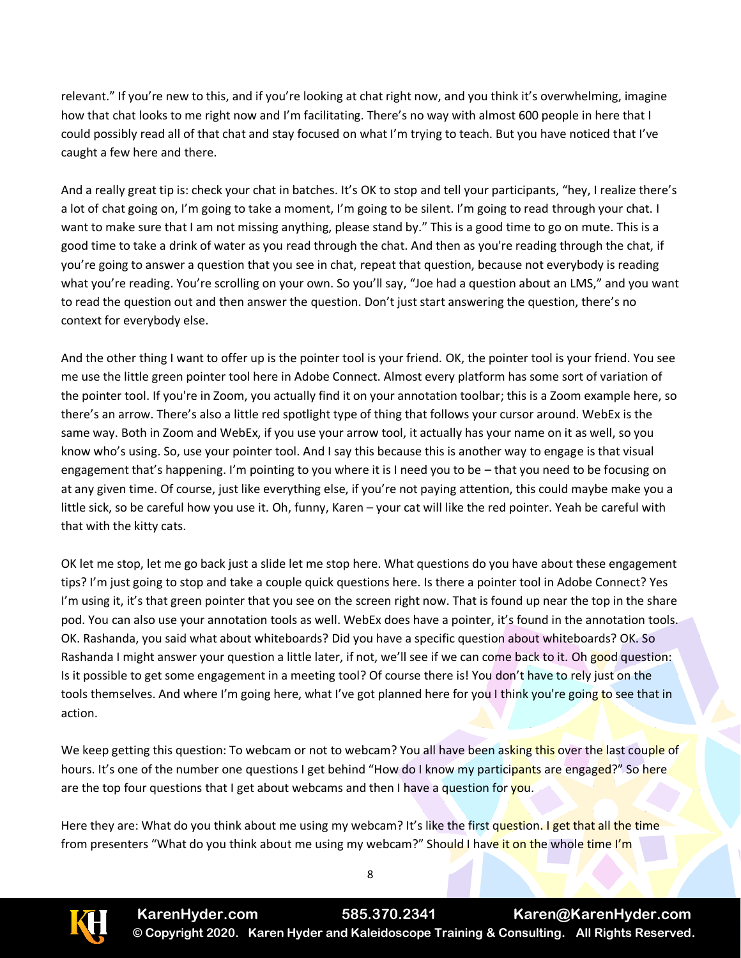relevant." If you're new to this, and if you're looking at chat right now, and you think it's overwhelming, imagine how that chat looks to me right now and I'm facilitating. There's no way with almost 600 people in here that I could possibly read all of that chat and stay focused on what I'm trying to teach. But you have noticed that I've caught a few here and there.

And a really great tip is: check your chat in batches. It's OK to stop and tell your participants, "hey, I realize there's a lot of chat going on, I'm going to take a moment, I'm going to be silent. I'm going to read through your chat. I want to make sure that I am not missing anything, please stand by." This is a good time to go on mute. This is a good time to take a drink of water as you read through the chat. And then as you're reading through the chat, if you're going to answer a question that you see in chat, repeat that question, because not everybody is reading what you're reading. You're scrolling on your own. So you'll say, "Joe had a question about an LMS," and you want to read the question out and then answer the question. Don't just start answering the question, there's no context for everybody else.

And the other thing I want to offer up is the pointer tool is your friend. OK, the pointer tool is your friend. You see me use the little green pointer tool here in Adobe Connect. Almost every platform has some sort of variation of the pointer tool. If you're in Zoom, you actually find it on your annotation toolbar; this is a Zoom example here, so there's an arrow. There's also a little red spotlight type of thing that follows your cursor around. WebEx is the same way. Both in Zoom and WebEx, if you use your arrow tool, it actually has your name on it as well, so you know who's using. So, use your pointer tool. And I say this because this is another way to engage is that visual engagement that's happening. I'm pointing to you where it is I need you to be – that you need to be focusing on at any given time. Of course, just like everything else, if you're not paying attention, this could maybe make you a little sick, so be careful how you use it. Oh, funny, Karen – your cat will like the red pointer. Yeah be careful with that with the kitty cats.

OK let me stop, let me go back just a slide let me stop here. What questions do you have about these engagement tips? I'm just going to stop and take a couple quick questions here. Is there a pointer tool in Adobe Connect? Yes I'm using it, it's that green pointer that you see on the screen right now. That is found up near the top in the share pod. You can also use your annotation tools as well. WebEx does have a pointer, it's found in the annotation tools. OK. Rashanda, you said what about whiteboards? Did you have a specific question about whiteboards? OK. So Rashanda I might answer your question a little later, if not, we'll see if we can come back to it. Oh good question: Is it possible to get some engagement in a meeting tool? Of course there is! You don't have to rely just on the tools themselves. And where I'm going here, what I've got planned here for you I think you're going to see that in action.

We keep getting this question: To webcam or not to webcam? You all have been asking this over the last couple of hours. It's one of the number one questions I get behind "How do I know my participants are engaged?" So here are the top four questions that I get about webcams and then I have a question for you.

Here they are: What do you think about me using my webcam? It's like the first question. I get that all the time from presenters "What do you think about me using my webcam?" Should I have it on the whole time I'm

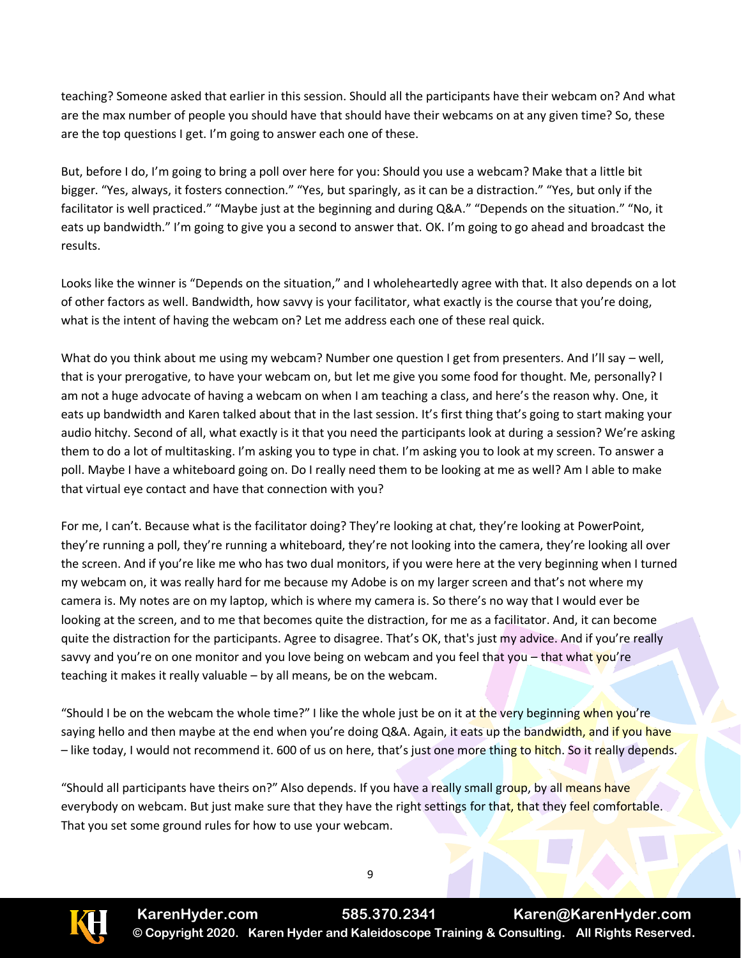teaching? Someone asked that earlier in this session. Should all the participants have their webcam on? And what are the max number of people you should have that should have their webcams on at any given time? So, these are the top questions I get. I'm going to answer each one of these.

But, before I do, I'm going to bring a poll over here for you: Should you use a webcam? Make that a little bit bigger. "Yes, always, it fosters connection." "Yes, but sparingly, as it can be a distraction." "Yes, but only if the facilitator is well practiced." "Maybe just at the beginning and during Q&A." "Depends on the situation." "No, it eats up bandwidth." I'm going to give you a second to answer that. OK. I'm going to go ahead and broadcast the results.

Looks like the winner is "Depends on the situation," and I wholeheartedly agree with that. It also depends on a lot of other factors as well. Bandwidth, how savvy is your facilitator, what exactly is the course that you're doing, what is the intent of having the webcam on? Let me address each one of these real quick.

What do you think about me using my webcam? Number one question I get from presenters. And I'll say – well, that is your prerogative, to have your webcam on, but let me give you some food for thought. Me, personally? I am not a huge advocate of having a webcam on when I am teaching a class, and here's the reason why. One, it eats up bandwidth and Karen talked about that in the last session. It's first thing that's going to start making your audio hitchy. Second of all, what exactly is it that you need the participants look at during a session? We're asking them to do a lot of multitasking. I'm asking you to type in chat. I'm asking you to look at my screen. To answer a poll. Maybe I have a whiteboard going on. Do I really need them to be looking at me as well? Am I able to make that virtual eye contact and have that connection with you?

For me, I can't. Because what is the facilitator doing? They're looking at chat, they're looking at PowerPoint, they're running a poll, they're running a whiteboard, they're not looking into the camera, they're looking all over the screen. And if you're like me who has two dual monitors, if you were here at the very beginning when I turned my webcam on, it was really hard for me because my Adobe is on my larger screen and that's not where my camera is. My notes are on my laptop, which is where my camera is. So there's no way that I would ever be looking at the screen, and to me that becomes quite the distraction, for me as a facilitator. And, it can become quite the distraction for the participants. Agree to disagree. That's OK, that's just my advice. And if you're really savvy and you're on one monitor and you love being on webcam and you feel that you – that what you're teaching it makes it really valuable – by all means, be on the webcam.

"Should I be on the webcam the whole time?" I like the whole just be on it at the very beginning when you're saying hello and then maybe at the end when you're doing Q&A. Again, it eats up the bandwidth, and if you have – like today, I would not recommend it. 600 of us on here, that's just one more thing to hitch. So it really depends.

"Should all participants have theirs on?" Also depends. If you have a really small group, by all means have everybody on webcam. But just make sure that they have the right settings for that, that they feel comfortable. That you set some ground rules for how to use your webcam.

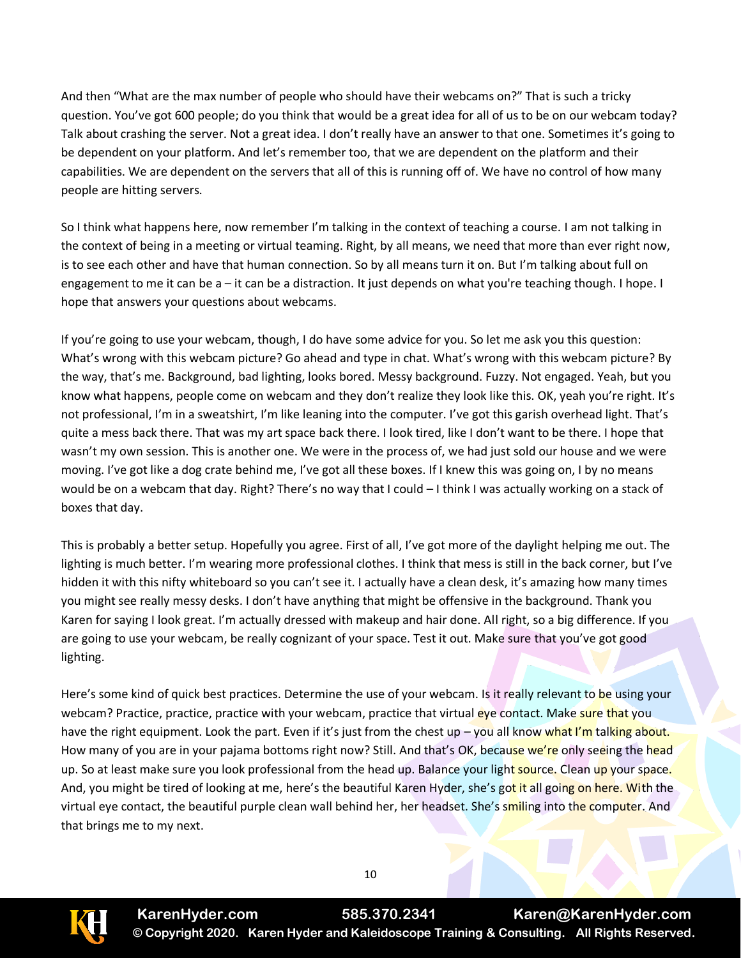And then "What are the max number of people who should have their webcams on?" That is such a tricky question. You've got 600 people; do you think that would be a great idea for all of us to be on our webcam today? Talk about crashing the server. Not a great idea. I don't really have an answer to that one. Sometimes it's going to be dependent on your platform. And let's remember too, that we are dependent on the platform and their capabilities. We are dependent on the servers that all of this is running off of. We have no control of how many people are hitting servers.

So I think what happens here, now remember I'm talking in the context of teaching a course. I am not talking in the context of being in a meeting or virtual teaming. Right, by all means, we need that more than ever right now, is to see each other and have that human connection. So by all means turn it on. But I'm talking about full on engagement to me it can be a – it can be a distraction. It just depends on what you're teaching though. I hope. I hope that answers your questions about webcams.

If you're going to use your webcam, though, I do have some advice for you. So let me ask you this question: What's wrong with this webcam picture? Go ahead and type in chat. What's wrong with this webcam picture? By the way, that's me. Background, bad lighting, looks bored. Messy background. Fuzzy. Not engaged. Yeah, but you know what happens, people come on webcam and they don't realize they look like this. OK, yeah you're right. It's not professional, I'm in a sweatshirt, I'm like leaning into the computer. I've got this garish overhead light. That's quite a mess back there. That was my art space back there. I look tired, like I don't want to be there. I hope that wasn't my own session. This is another one. We were in the process of, we had just sold our house and we were moving. I've got like a dog crate behind me, I've got all these boxes. If I knew this was going on, I by no means would be on a webcam that day. Right? There's no way that I could – I think I was actually working on a stack of boxes that day.

This is probably a better setup. Hopefully you agree. First of all, I've got more of the daylight helping me out. The lighting is much better. I'm wearing more professional clothes. I think that mess is still in the back corner, but I've hidden it with this nifty whiteboard so you can't see it. I actually have a clean desk, it's amazing how many times you might see really messy desks. I don't have anything that might be offensive in the background. Thank you Karen for saying I look great. I'm actually dressed with makeup and hair done. All right, so a big difference. If you are going to use your webcam, be really cognizant of your space. Test it out. Make sure that you've got good lighting.

Here's some kind of quick best practices. Determine the use of your webcam. Is it really relevant to be using your webcam? Practice, practice, practice with your webcam, practice that virtual eye contact. Make sure that you have the right equipment. Look the part. Even if it's just from the chest up – you all know what I'm talking about. How many of you are in your pajama bottoms right now? Still. And that's OK, because we're only seeing the head up. So at least make sure you look professional from the head up. Balance your light source. Clean up your space. And, you might be tired of looking at me, here's the beautiful Karen Hyder, she's got it all going on here. With the virtual eye contact, the beautiful purple clean wall behind her, her headset. She's smiling into the computer. And that brings me to my next.



**KarenHyder.com 585.370.2341 Karen@KarenHyder.com © Copyright 2020. Karen Hyder and Kaleidoscope Training & Consulting. All Rights Reserved.**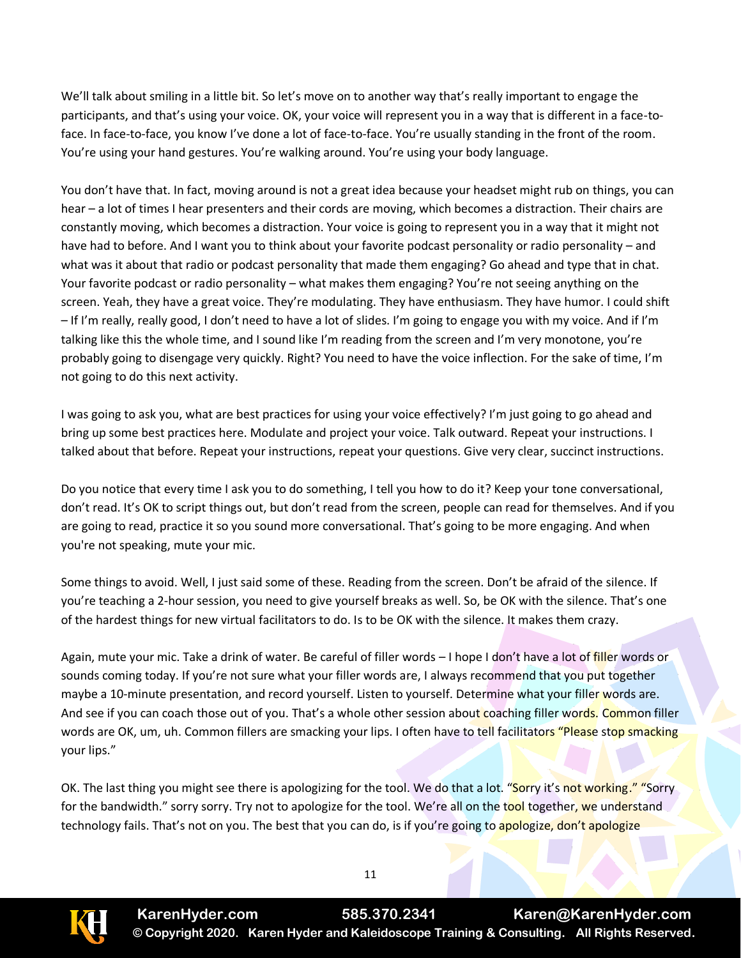We'll talk about smiling in a little bit. So let's move on to another way that's really important to engage the participants, and that's using your voice. OK, your voice will represent you in a way that is different in a face-toface. In face-to-face, you know I've done a lot of face-to-face. You're usually standing in the front of the room. You're using your hand gestures. You're walking around. You're using your body language.

You don't have that. In fact, moving around is not a great idea because your headset might rub on things, you can hear – a lot of times I hear presenters and their cords are moving, which becomes a distraction. Their chairs are constantly moving, which becomes a distraction. Your voice is going to represent you in a way that it might not have had to before. And I want you to think about your favorite podcast personality or radio personality – and what was it about that radio or podcast personality that made them engaging? Go ahead and type that in chat. Your favorite podcast or radio personality – what makes them engaging? You're not seeing anything on the screen. Yeah, they have a great voice. They're modulating. They have enthusiasm. They have humor. I could shift – If I'm really, really good, I don't need to have a lot of slides. I'm going to engage you with my voice. And if I'm talking like this the whole time, and I sound like I'm reading from the screen and I'm very monotone, you're probably going to disengage very quickly. Right? You need to have the voice inflection. For the sake of time, I'm not going to do this next activity.

I was going to ask you, what are best practices for using your voice effectively? I'm just going to go ahead and bring up some best practices here. Modulate and project your voice. Talk outward. Repeat your instructions. I talked about that before. Repeat your instructions, repeat your questions. Give very clear, succinct instructions.

Do you notice that every time I ask you to do something, I tell you how to do it? Keep your tone conversational, don't read. It's OK to script things out, but don't read from the screen, people can read for themselves. And if you are going to read, practice it so you sound more conversational. That's going to be more engaging. And when you're not speaking, mute your mic.

Some things to avoid. Well, I just said some of these. Reading from the screen. Don't be afraid of the silence. If you're teaching a 2-hour session, you need to give yourself breaks as well. So, be OK with the silence. That's one of the hardest things for new virtual facilitators to do. Is to be OK with the silence. It makes them crazy.

Again, mute your mic. Take a drink of water. Be careful of filler words – I hope I don't have a lot of *filler* words or sounds coming today. If you're not sure what your filler words are, I always recommend that you put together maybe a 10-minute presentation, and record yourself. Listen to yourself. Determine what your filler words are. And see if you can coach those out of you. That's a whole other session about coaching filler words. Common filler words are OK, um, uh. Common fillers are smacking your lips. I often have to tell facilitators "Please stop smacking your lips."

OK. The last thing you might see there is apologizing for the tool. We do that a lot. "Sorry it's not working." "Sorry for the bandwidth." sorry sorry. Try not to apologize for the tool. We're all on the tool together, we understand technology fails. That's not on you. The best that you can do, is if you're going to apologize, don't apologize

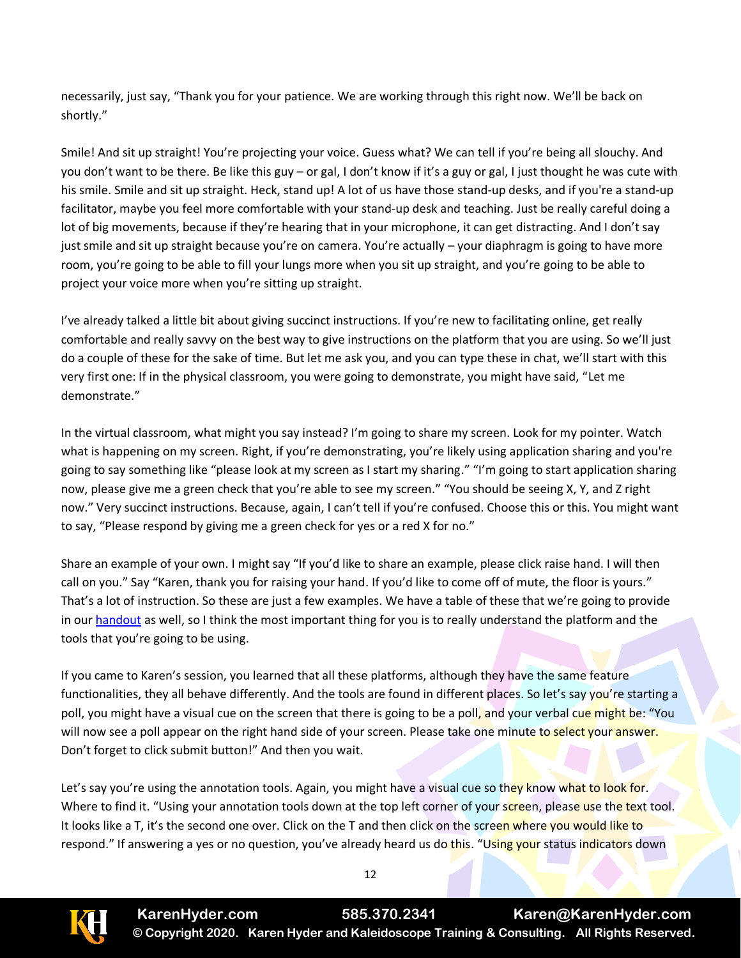necessarily, just say, "Thank you for your patience. We are working through this right now. We'll be back on shortly."

Smile! And sit up straight! You're projecting your voice. Guess what? We can tell if you're being all slouchy. And you don't want to be there. Be like this guy – or gal, I don't know if it's a guy or gal, I just thought he was cute with his smile. Smile and sit up straight. Heck, stand up! A lot of us have those stand-up desks, and if you're a stand-up facilitator, maybe you feel more comfortable with your stand-up desk and teaching. Just be really careful doing a lot of big movements, because if they're hearing that in your microphone, it can get distracting. And I don't say just smile and sit up straight because you're on camera. You're actually – your diaphragm is going to have more room, you're going to be able to fill your lungs more when you sit up straight, and you're going to be able to project your voice more when you're sitting up straight.

I've already talked a little bit about giving succinct instructions. If you're new to facilitating online, get really comfortable and really savvy on the best way to give instructions on the platform that you are using. So we'll just do a couple of these for the sake of time. But let me ask you, and you can type these in chat, we'll start with this very first one: If in the physical classroom, you were going to demonstrate, you might have said, "Let me demonstrate."

In the virtual classroom, what might you say instead? I'm going to share my screen. Look for my pointer. Watch what is happening on my screen. Right, if you're demonstrating, you're likely using application sharing and you're going to say something like "please look at my screen as I start my sharing." "I'm going to start application sharing now, please give me a green check that you're able to see my screen." "You should be seeing X, Y, and Z right now." Very succinct instructions. Because, again, I can't tell if you're confused. Choose this or this. You might want to say, "Please respond by giving me a green check for yes or a red X for no."

Share an example of your own. I might say "If you'd like to share an example, please click raise hand. I will then call on you." Say "Karen, thank you for raising your hand. If you'd like to come off of mute, the floor is yours." That's a lot of instruction. So these are just a few examples. We have a table of these that we're going to provide in our [handout](http://www.elearningguild.com/showFile.cfm?id=6437) as well, so I think the most important thing for you is to really understand the platform and the tools that you're going to be using.

If you came to Karen's session, you learned that all these platforms, although they have the same feature functionalities, they all behave differently. And the tools are found in different places. So let's say you're starting a poll, you might have a visual cue on the screen that there is going to be a poll, and your verbal cue might be: "You will now see a poll appear on the right hand side of your screen. Please take one minute to select your answer. Don't forget to click submit button!" And then you wait.

Let's say you're using the annotation tools. Again, you might have a visual cue so they know what to look for. Where to find it. "Using your annotation tools down at the top left corner of your screen, please use the text tool. It looks like a T, it's the second one over. Click on the  $T$  and then click on the screen where you would like to respond." If answering a yes or no question, you've already heard us do this. "Using your status indicators down

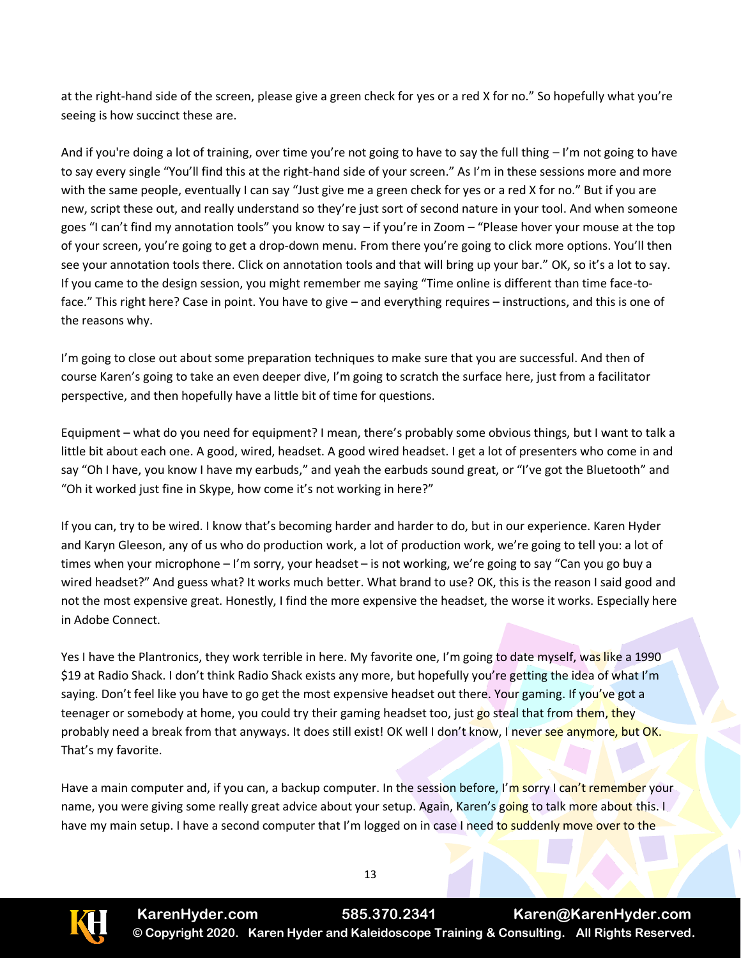at the right-hand side of the screen, please give a green check for yes or a red X for no." So hopefully what you're seeing is how succinct these are.

And if you're doing a lot of training, over time you're not going to have to say the full thing – I'm not going to have to say every single "You'll find this at the right-hand side of your screen." As I'm in these sessions more and more with the same people, eventually I can say "Just give me a green check for yes or a red X for no." But if you are new, script these out, and really understand so they're just sort of second nature in your tool. And when someone goes "I can't find my annotation tools" you know to say – if you're in Zoom – "Please hover your mouse at the top of your screen, you're going to get a drop-down menu. From there you're going to click more options. You'll then see your annotation tools there. Click on annotation tools and that will bring up your bar." OK, so it's a lot to say. If you came to the design session, you might remember me saying "Time online is different than time face-toface." This right here? Case in point. You have to give – and everything requires – instructions, and this is one of the reasons why.

I'm going to close out about some preparation techniques to make sure that you are successful. And then of course Karen's going to take an even deeper dive, I'm going to scratch the surface here, just from a facilitator perspective, and then hopefully have a little bit of time for questions.

Equipment – what do you need for equipment? I mean, there's probably some obvious things, but I want to talk a little bit about each one. A good, wired, headset. A good wired headset. I get a lot of presenters who come in and say "Oh I have, you know I have my earbuds," and yeah the earbuds sound great, or "I've got the Bluetooth" and "Oh it worked just fine in Skype, how come it's not working in here?"

If you can, try to be wired. I know that's becoming harder and harder to do, but in our experience. Karen Hyder and Karyn Gleeson, any of us who do production work, a lot of production work, we're going to tell you: a lot of times when your microphone – I'm sorry, your headset – is not working, we're going to say "Can you go buy a wired headset?" And guess what? It works much better. What brand to use? OK, this is the reason I said good and not the most expensive great. Honestly, I find the more expensive the headset, the worse it works. Especially here in Adobe Connect.

Yes I have the Plantronics, they work terrible in here. My favorite one, I'm going to date myself, was like a 1990 \$19 at Radio Shack. I don't think Radio Shack exists any more, but hopefully you're getting the idea of what I'm saying. Don't feel like you have to go get the most expensive headset out there. Your gaming. If you've got a teenager or somebody at home, you could try their gaming headset too, just go steal that from them, they probably need a break from that anyways. It does still exist! OK well I don't know, I never see anymore, but OK. That's my favorite.

Have a main computer and, if you can, a backup computer. In the session before, I'm sorry I can't remember your name, you were giving some really great advice about your setup. Again, Karen's going to talk more about this. I have my main setup. I have a second computer that I'm logged on in case I need to suddenly move over to the



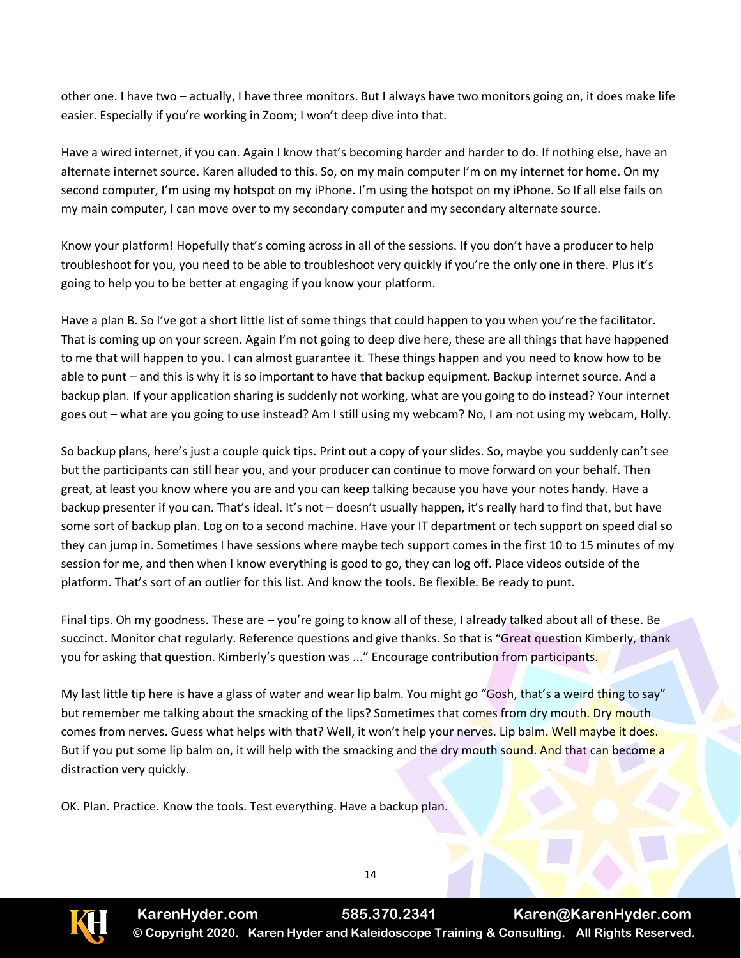other one. I have two – actually, I have three monitors. But I always have two monitors going on, it does make life easier. Especially if you're working in Zoom; I won't deep dive into that.

Have a wired internet, if you can. Again I know that's becoming harder and harder to do. If nothing else, have an alternate internet source. Karen alluded to this. So, on my main computer I'm on my internet for home. On my second computer, I'm using my hotspot on my iPhone. I'm using the hotspot on my iPhone. So If all else fails on my main computer, I can move over to my secondary computer and my secondary alternate source.

Know your platform! Hopefully that's coming across in all of the sessions. If you don't have a producer to help troubleshoot for you, you need to be able to troubleshoot very quickly if you're the only one in there. Plus it's going to help you to be better at engaging if you know your platform.

Have a plan B. So I've got a short little list of some things that could happen to you when you're the facilitator. That is coming up on your screen. Again I'm not going to deep dive here, these are all things that have happened to me that will happen to you. I can almost guarantee it. These things happen and you need to know how to be able to punt – and this is why it is so important to have that backup equipment. Backup internet source. And a backup plan. If your application sharing is suddenly not working, what are you going to do instead? Your internet goes out – what are you going to use instead? Am I still using my webcam? No, I am not using my webcam, Holly.

So backup plans, here's just a couple quick tips. Print out a copy of your slides. So, maybe you suddenly can't see but the participants can still hear you, and your producer can continue to move forward on your behalf. Then great, at least you know where you are and you can keep talking because you have your notes handy. Have a backup presenter if you can. That's ideal. It's not – doesn't usually happen, it's really hard to find that, but have some sort of backup plan. Log on to a second machine. Have your IT department or tech support on speed dial so they can jump in. Sometimes I have sessions where maybe tech support comes in the first 10 to 15 minutes of my session for me, and then when I know everything is good to go, they can log off. Place videos outside of the platform. That's sort of an outlier for this list. And know the tools. Be flexible. Be ready to punt.

Final tips. Oh my goodness. These are – you're going to know all of these, I already talked about all of these. Be succinct. Monitor chat regularly. Reference questions and give thanks. So that is "Great question Kimberly, thank you for asking that question. Kimberly's question was ..." Encourage contribution from participants.

My last little tip here is have a glass of water and wear lip balm. You might go "Gosh, that's a weird thing to say" but remember me talking about the smacking of the lips? Sometimes that comes from dry mouth. Dry mouth comes from nerves. Guess what helps with that? Well, it won't help your nerves. Lip balm. Well maybe it does. But if you put some lip balm on, it will help with the smacking and the dry mouth sound. And that can become a distraction very quickly.

OK. Plan. Practice. Know the tools. Test everything. Have a backup plan.



**KarenHyder.com 585.370.2341 Karen@KarenHyder.com © Copyright 2020. Karen Hyder and Kaleidoscope Training & Consulting. All Rights Reserved.**